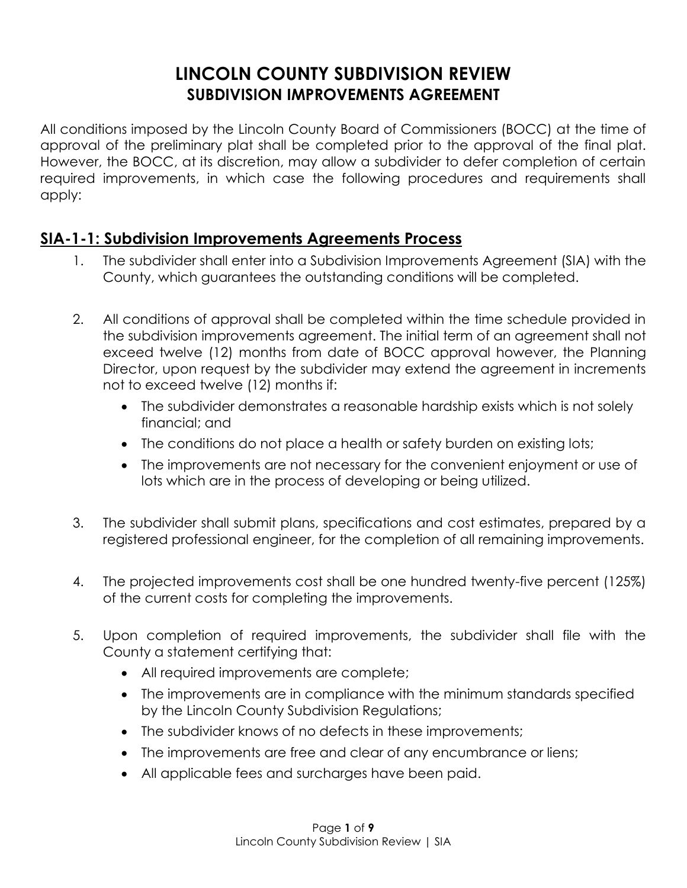# **LINCOLN COUNTY SUBDIVISION REVIEW SUBDIVISION IMPROVEMENTS AGREEMENT**

All conditions imposed by the Lincoln County Board of Commissioners (BOCC) at the time of approval of the preliminary plat shall be completed prior to the approval of the final plat. However, the BOCC, at its discretion, may allow a subdivider to defer completion of certain required improvements, in which case the following procedures and requirements shall apply:

## **SIA-1-1: Subdivision Improvements Agreements Process**

- 1. The subdivider shall enter into a Subdivision Improvements Agreement (SIA) with the County, which guarantees the outstanding conditions will be completed.
- 2. All conditions of approval shall be completed within the time schedule provided in the subdivision improvements agreement. The initial term of an agreement shall not exceed twelve (12) months from date of BOCC approval however, the Planning Director, upon request by the subdivider may extend the agreement in increments not to exceed twelve (12) months if:
	- The subdivider demonstrates a reasonable hardship exists which is not solely financial; and
	- The conditions do not place a health or safety burden on existing lots;
	- The improvements are not necessary for the convenient enjoyment or use of lots which are in the process of developing or being utilized.
- 3. The subdivider shall submit plans, specifications and cost estimates, prepared by a registered professional engineer, for the completion of all remaining improvements.
- 4. The projected improvements cost shall be one hundred twenty-five percent (125%) of the current costs for completing the improvements.
- 5. Upon completion of required improvements, the subdivider shall file with the County a statement certifying that:
	- All required improvements are complete;
	- The improvements are in compliance with the minimum standards specified by the Lincoln County Subdivision Regulations;
	- The subdivider knows of no defects in these improvements;
	- The improvements are free and clear of any encumbrance or liens;
	- All applicable fees and surcharges have been paid.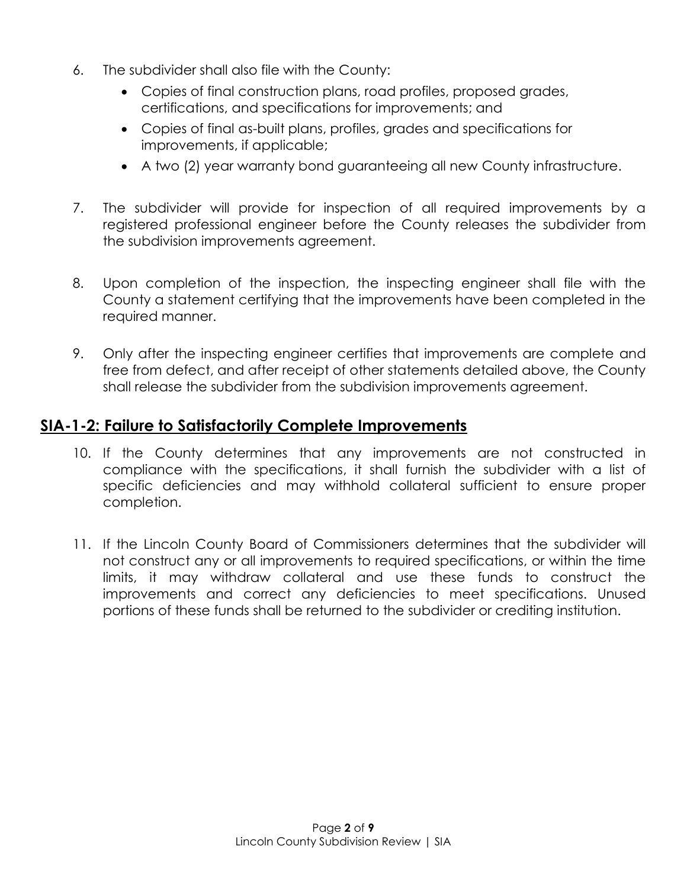- 6. The subdivider shall also file with the County:
	- Copies of final construction plans, road profiles, proposed grades, certifications, and specifications for improvements; and
	- Copies of final as-built plans, profiles, grades and specifications for improvements, if applicable;
	- A two (2) year warranty bond guaranteeing all new County infrastructure.
- 7. The subdivider will provide for inspection of all required improvements by a registered professional engineer before the County releases the subdivider from the subdivision improvements agreement.
- 8. Upon completion of the inspection, the inspecting engineer shall file with the County a statement certifying that the improvements have been completed in the required manner.
- 9. Only after the inspecting engineer certifies that improvements are complete and free from defect, and after receipt of other statements detailed above, the County shall release the subdivider from the subdivision improvements agreement.

### **SIA-1-2: Failure to Satisfactorily Complete Improvements**

- 10. If the County determines that any improvements are not constructed in compliance with the specifications, it shall furnish the subdivider with a list of specific deficiencies and may withhold collateral sufficient to ensure proper completion.
- 11. If the Lincoln County Board of Commissioners determines that the subdivider will not construct any or all improvements to required specifications, or within the time limits, it may withdraw collateral and use these funds to construct the improvements and correct any deficiencies to meet specifications. Unused portions of these funds shall be returned to the subdivider or crediting institution.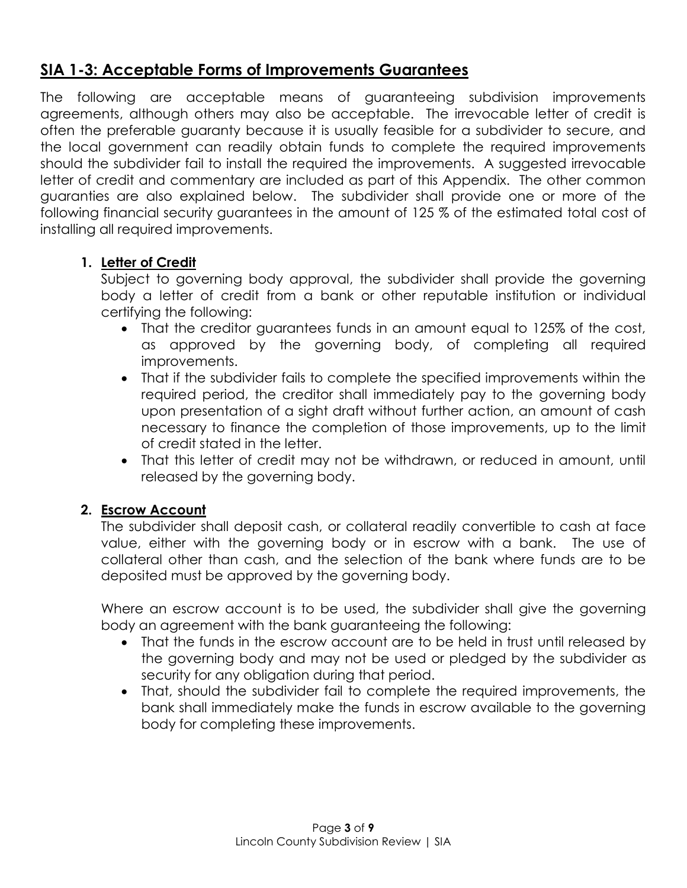# **SIA 1-3: Acceptable Forms of Improvements Guarantees**

The following are acceptable means of guaranteeing subdivision improvements agreements, although others may also be acceptable. The irrevocable letter of credit is often the preferable guaranty because it is usually feasible for a subdivider to secure, and the local government can readily obtain funds to complete the required improvements should the subdivider fail to install the required the improvements. A suggested irrevocable letter of credit and commentary are included as part of this Appendix. The other common guaranties are also explained below. The subdivider shall provide one or more of the following financial security guarantees in the amount of 125 % of the estimated total cost of installing all required improvements.

### **1. Letter of Credit**

Subject to governing body approval, the subdivider shall provide the governing body a letter of credit from a bank or other reputable institution or individual certifying the following:

- That the creditor guarantees funds in an amount equal to 125% of the cost, as approved by the governing body, of completing all required improvements.
- That if the subdivider fails to complete the specified improvements within the required period, the creditor shall immediately pay to the governing body upon presentation of a sight draft without further action, an amount of cash necessary to finance the completion of those improvements, up to the limit of credit stated in the letter.
- That this letter of credit may not be withdrawn, or reduced in amount, until released by the governing body.

#### **2. Escrow Account**

The subdivider shall deposit cash, or collateral readily convertible to cash at face value, either with the governing body or in escrow with a bank. The use of collateral other than cash, and the selection of the bank where funds are to be deposited must be approved by the governing body.

Where an escrow account is to be used, the subdivider shall give the governing body an agreement with the bank guaranteeing the following:

- That the funds in the escrow account are to be held in trust until released by the governing body and may not be used or pledged by the subdivider as security for any obligation during that period.
- That, should the subdivider fail to complete the required improvements, the bank shall immediately make the funds in escrow available to the governing body for completing these improvements.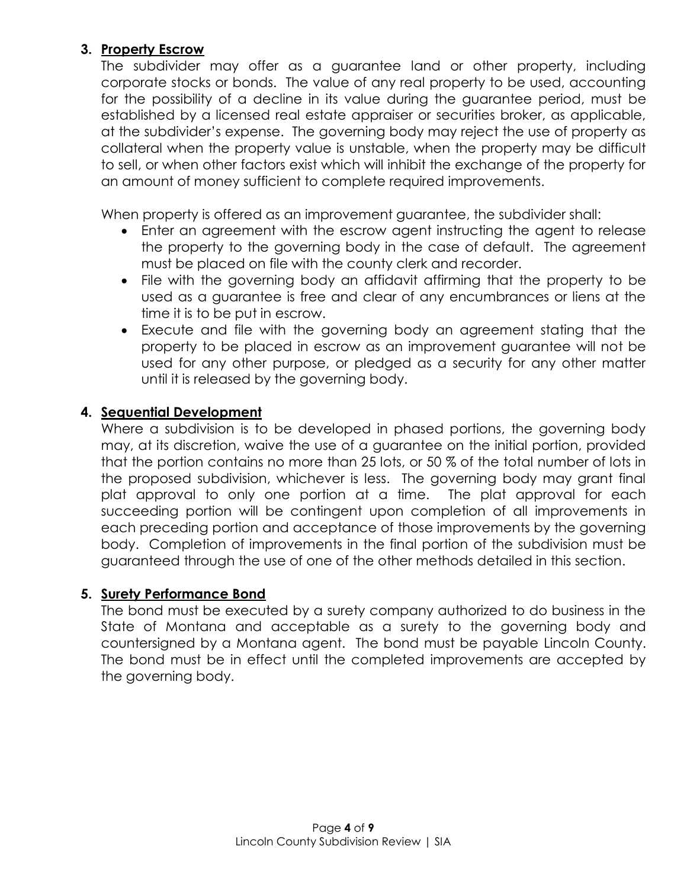### **3. Property Escrow**

The subdivider may offer as a guarantee land or other property, including corporate stocks or bonds. The value of any real property to be used, accounting for the possibility of a decline in its value during the guarantee period, must be established by a licensed real estate appraiser or securities broker, as applicable, at the subdivider's expense. The governing body may reject the use of property as collateral when the property value is unstable, when the property may be difficult to sell, or when other factors exist which will inhibit the exchange of the property for an amount of money sufficient to complete required improvements.

When property is offered as an improvement guarantee, the subdivider shall:

- Enter an agreement with the escrow agent instructing the agent to release the property to the governing body in the case of default. The agreement must be placed on file with the county clerk and recorder.
- File with the governing body an affidavit affirming that the property to be used as a guarantee is free and clear of any encumbrances or liens at the time it is to be put in escrow.
- Execute and file with the governing body an agreement stating that the property to be placed in escrow as an improvement guarantee will not be used for any other purpose, or pledged as a security for any other matter until it is released by the governing body.

### **4. Sequential Development**

Where a subdivision is to be developed in phased portions, the governing body may, at its discretion, waive the use of a guarantee on the initial portion, provided that the portion contains no more than 25 lots, or 50 % of the total number of lots in the proposed subdivision, whichever is less. The governing body may grant final plat approval to only one portion at a time. The plat approval for each succeeding portion will be contingent upon completion of all improvements in each preceding portion and acceptance of those improvements by the governing body. Completion of improvements in the final portion of the subdivision must be guaranteed through the use of one of the other methods detailed in this section.

### **5. Surety Performance Bond**

The bond must be executed by a surety company authorized to do business in the State of Montana and acceptable as a surety to the governing body and countersigned by a Montana agent. The bond must be payable Lincoln County. The bond must be in effect until the completed improvements are accepted by the governing body.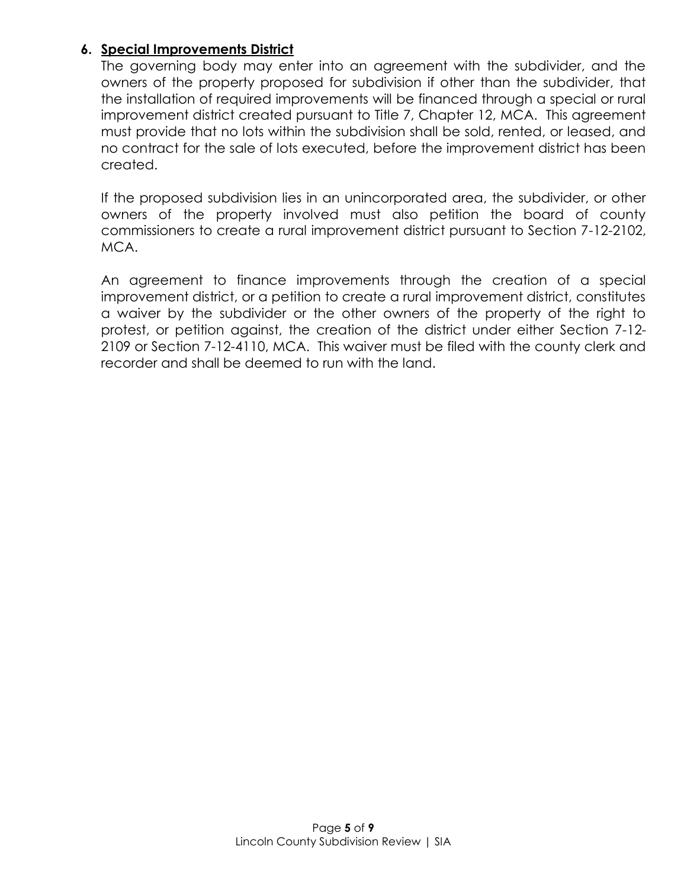#### **6. Special Improvements District**

The governing body may enter into an agreement with the subdivider, and the owners of the property proposed for subdivision if other than the subdivider, that the installation of required improvements will be financed through a special or rural improvement district created pursuant to Title 7, Chapter 12, MCA. This agreement must provide that no lots within the subdivision shall be sold, rented, or leased, and no contract for the sale of lots executed, before the improvement district has been created.

If the proposed subdivision lies in an unincorporated area, the subdivider, or other owners of the property involved must also petition the board of county commissioners to create a rural improvement district pursuant to Section 7-12-2102, MCA.

An agreement to finance improvements through the creation of a special improvement district, or a petition to create a rural improvement district, constitutes a waiver by the subdivider or the other owners of the property of the right to protest, or petition against, the creation of the district under either Section 7-12- 2109 or Section 7-12-4110, MCA. This waiver must be filed with the county clerk and recorder and shall be deemed to run with the land.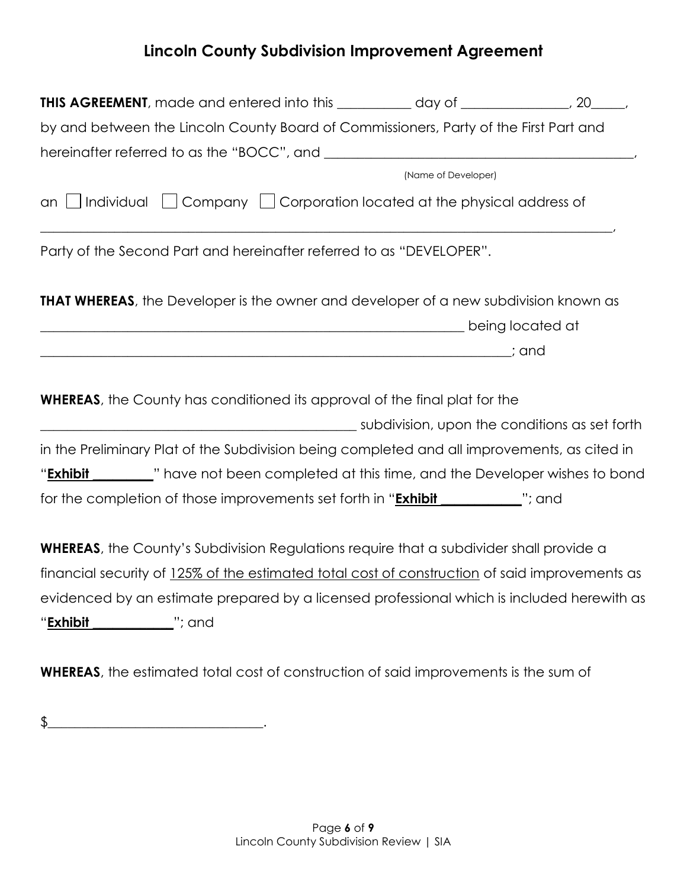## **Lincoln County Subdivision Improvement Agreement**

| by and between the Lincoln County Board of Commissioners, Party of the First Part and                                                                                                                             |  |
|-------------------------------------------------------------------------------------------------------------------------------------------------------------------------------------------------------------------|--|
|                                                                                                                                                                                                                   |  |
| (Name of Developer)                                                                                                                                                                                               |  |
| an $\Box$ Individual $\Box$ Company $\Box$ Corporation located at the physical address of<br><u> 1999 - Jan James James James James James James James James James James James James James James James James J</u> |  |
| Party of the Second Part and hereinafter referred to as "DEVELOPER".                                                                                                                                              |  |
| <b>THAT WHEREAS</b> , the Developer is the owner and developer of a new subdivision known as                                                                                                                      |  |
|                                                                                                                                                                                                                   |  |
|                                                                                                                                                                                                                   |  |
| <b>WHEREAS</b> , the County has conditioned its approval of the final plat for the                                                                                                                                |  |
|                                                                                                                                                                                                                   |  |
| in the Preliminary Plat of the Subdivision being completed and all improvements, as cited in                                                                                                                      |  |
| " <b>Exhibit</b> _________" have not been completed at this time, and the Developer wishes to bond                                                                                                                |  |
| for the completion of those improvements set forth in " <b>Exhibit</b> ___________"; and                                                                                                                          |  |
| <b>WHEREAS</b> , the County's Subdivision Regulations require that a subdivider shall provide a                                                                                                                   |  |

financial security of 125% of the estimated total cost of construction of said improvements as evidenced by an estimate prepared by a licensed professional which is included herewith as "**Exhibit \_\_\_\_\_\_\_\_\_\_\_\_**"; and

**WHEREAS**, the estimated total cost of construction of said improvements is the sum of

 $\oint$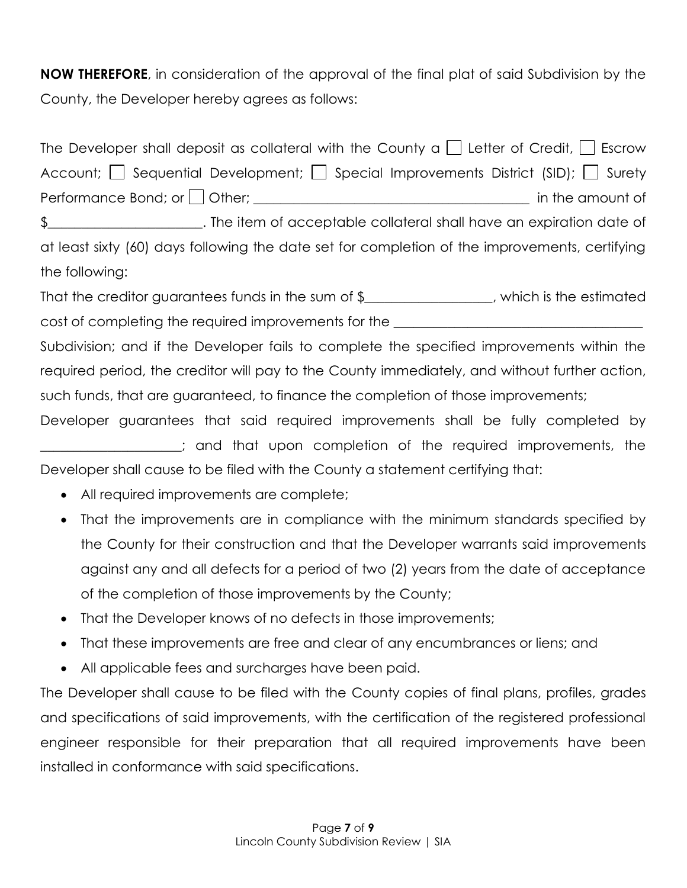**NOW THEREFORE**, in consideration of the approval of the final plat of said Subdivision by the County, the Developer hereby agrees as follows:

| The Developer shall deposit as collateral with the County a $\Box$ Letter of Credit, $\Box$ Escrow |
|----------------------------------------------------------------------------------------------------|
| Account; $\Box$ Sequential Development; $\Box$ Special Improvements District (SID); $\Box$ Surety  |
|                                                                                                    |
|                                                                                                    |
| at least sixty (60) days following the date set for completion of the improvements, certifying     |
| the following:                                                                                     |
| That the creditor guarantees funds in the sum of $\frac{1}{2}$ [2010]. Which is the estimated      |
| cost of completing the required improvements for the ___________________________                   |
| Subdivision; and if the Developer fails to complete the specified improvements within the          |
| required period, the creditor will pay to the County immediately, and without further action,      |
| such funds, that are guaranteed, to finance the completion of those improvements;                  |
| Developer guarantees that said required improvements shall be fully completed by                   |
| and that upon completion of the required improvements, the                                         |
| Developer shall cause to be filed with the County a statement certifying that:                     |

- All required improvements are complete;
- That the improvements are in compliance with the minimum standards specified by the County for their construction and that the Developer warrants said improvements against any and all defects for a period of two (2) years from the date of acceptance of the completion of those improvements by the County;
- That the Developer knows of no defects in those improvements;
- That these improvements are free and clear of any encumbrances or liens; and
- All applicable fees and surcharges have been paid.

The Developer shall cause to be filed with the County copies of final plans, profiles, grades and specifications of said improvements, with the certification of the registered professional engineer responsible for their preparation that all required improvements have been installed in conformance with said specifications.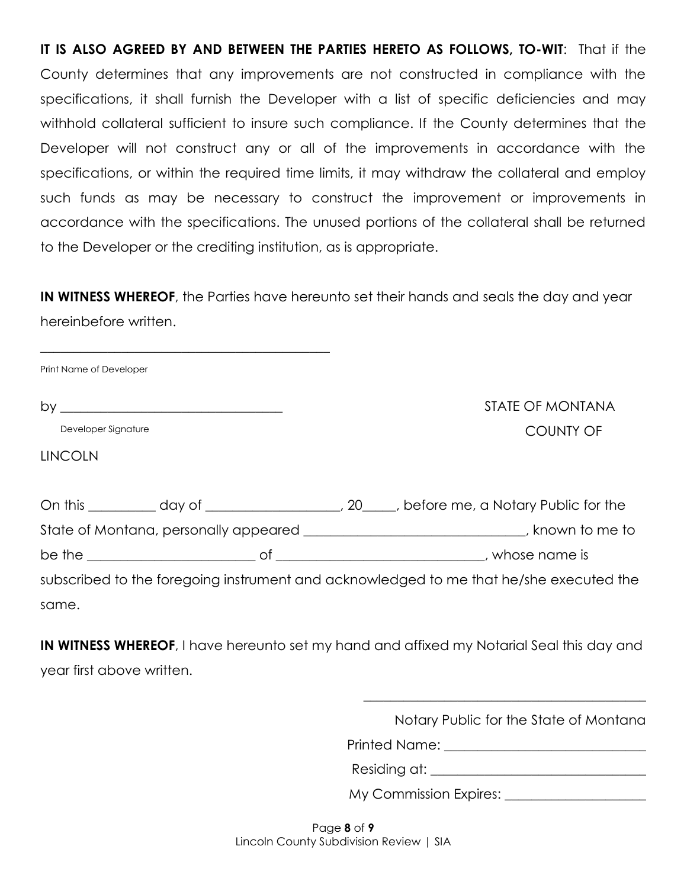**IT IS ALSO AGREED BY AND BETWEEN THE PARTIES HERETO AS FOLLOWS, TO-WIT**: That if the County determines that any improvements are not constructed in compliance with the specifications, it shall furnish the Developer with a list of specific deficiencies and may withhold collateral sufficient to insure such compliance. If the County determines that the Developer will not construct any or all of the improvements in accordance with the specifications, or within the required time limits, it may withdraw the collateral and employ such funds as may be necessary to construct the improvement or improvements in accordance with the specifications. The unused portions of the collateral shall be returned to the Developer or the crediting institution, as is appropriate.

**IN WITNESS WHEREOF**, the Parties have hereunto set their hands and seals the day and year hereinbefore written.

| Print Name of Developer |  |                                                                                        |
|-------------------------|--|----------------------------------------------------------------------------------------|
|                         |  | STATE OF MONTANA                                                                       |
| Developer Signature     |  | <b>COUNTY OF</b>                                                                       |
| <b>LINCOLN</b>          |  |                                                                                        |
|                         |  |                                                                                        |
|                         |  |                                                                                        |
|                         |  | State of Montana, personally appeared ______________________________, known to me to   |
|                         |  |                                                                                        |
|                         |  | subscribed to the foregoing instrument and acknowledged to me that he/she executed the |
| same.                   |  |                                                                                        |

**IN WITNESS WHEREOF**, I have hereunto set my hand and affixed my Notarial Seal this day and year first above written.

Notary Public for the State of Montana

\_\_\_\_\_\_\_\_\_\_\_\_\_\_\_\_\_\_\_\_\_\_\_\_\_\_\_\_\_\_\_\_\_\_\_\_\_\_\_\_\_\_

Printed Name:  $\blacksquare$ 

| Residing at: |  |  |
|--------------|--|--|
|              |  |  |

My Commission Expires: \_\_\_\_\_\_\_\_\_\_\_\_\_\_\_\_\_\_\_\_\_